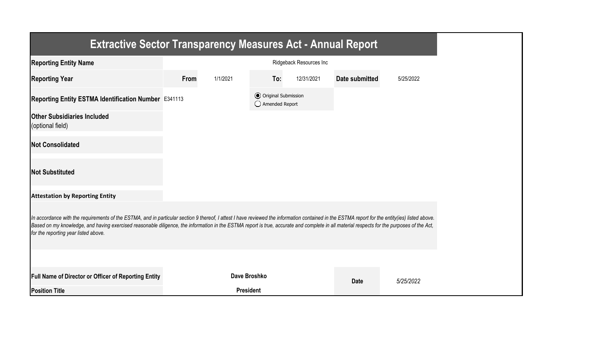| <b>Extractive Sector Transparency Measures Act - Annual Report</b>                                                                                                                                                                                                                                                                                                                                                                    |      |                         |                                                  |            |                |           |  |  |  |
|---------------------------------------------------------------------------------------------------------------------------------------------------------------------------------------------------------------------------------------------------------------------------------------------------------------------------------------------------------------------------------------------------------------------------------------|------|-------------------------|--------------------------------------------------|------------|----------------|-----------|--|--|--|
| <b>Reporting Entity Name</b>                                                                                                                                                                                                                                                                                                                                                                                                          |      | Ridgeback Resources Inc |                                                  |            |                |           |  |  |  |
| <b>Reporting Year</b>                                                                                                                                                                                                                                                                                                                                                                                                                 | From | 1/1/2021                | To:                                              | 12/31/2021 | Date submitted | 5/25/2022 |  |  |  |
| Reporting Entity ESTMA Identification Number E341113                                                                                                                                                                                                                                                                                                                                                                                  |      |                         | <b>⊙</b> Original Submission<br>◯ Amended Report |            |                |           |  |  |  |
| <b>Other Subsidiaries Included</b><br>(optional field)                                                                                                                                                                                                                                                                                                                                                                                |      |                         |                                                  |            |                |           |  |  |  |
| <b>Not Consolidated</b>                                                                                                                                                                                                                                                                                                                                                                                                               |      |                         |                                                  |            |                |           |  |  |  |
| <b>Not Substituted</b>                                                                                                                                                                                                                                                                                                                                                                                                                |      |                         |                                                  |            |                |           |  |  |  |
| <b>Attestation by Reporting Entity</b>                                                                                                                                                                                                                                                                                                                                                                                                |      |                         |                                                  |            |                |           |  |  |  |
| In accordance with the requirements of the ESTMA, and in particular section 9 thereof, I attest I have reviewed the information contained in the ESTMA report for the entity(ies) listed above.<br>Based on my knowledge, and having exercised reasonable diligence, the information in the ESTMA report is true, accurate and complete in all material respects for the purposes of the Act,<br>for the reporting year listed above. |      |                         |                                                  |            |                |           |  |  |  |
|                                                                                                                                                                                                                                                                                                                                                                                                                                       |      |                         |                                                  |            |                |           |  |  |  |
| Full Name of Director or Officer of Reporting Entity                                                                                                                                                                                                                                                                                                                                                                                  |      | Dave Broshko            |                                                  |            | <b>Date</b>    | 5/25/2022 |  |  |  |
| <b>Position Title</b>                                                                                                                                                                                                                                                                                                                                                                                                                 |      | <b>President</b>        |                                                  |            |                |           |  |  |  |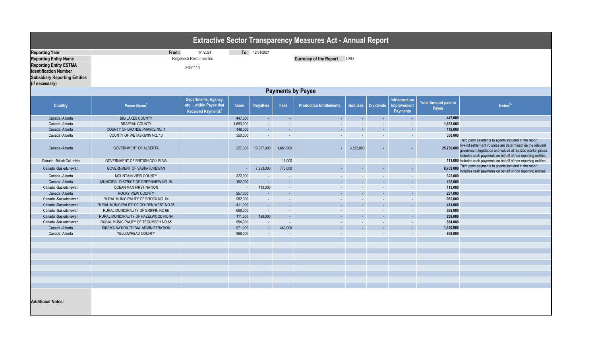| <b>Extractive Sector Transparency Measures Act - Annual Report</b>                                                                                                               |                                                                                                                   |                                                                                 |                    |                         |                          |                                |                             |                                    |                                                  |                                      |                                                                                                                                                                                                                                                   |
|----------------------------------------------------------------------------------------------------------------------------------------------------------------------------------|-------------------------------------------------------------------------------------------------------------------|---------------------------------------------------------------------------------|--------------------|-------------------------|--------------------------|--------------------------------|-----------------------------|------------------------------------|--------------------------------------------------|--------------------------------------|---------------------------------------------------------------------------------------------------------------------------------------------------------------------------------------------------------------------------------------------------|
| <b>Reporting Year</b><br><b>Reporting Entity Name</b><br><b>Reporting Entity ESTMA</b><br><b>Identification Number</b><br><b>Subsidiary Reporting Entities</b><br>(if necessary) | 1/1/2021<br>To: 12/31/2021<br>From:<br>Ridgeback Resources Inc<br>CAD<br><b>Currency of the Report</b><br>E341113 |                                                                                 |                    |                         |                          |                                |                             |                                    |                                                  |                                      |                                                                                                                                                                                                                                                   |
|                                                                                                                                                                                  |                                                                                                                   |                                                                                 |                    |                         | <b>Payments by Payee</b> |                                |                             |                                    |                                                  |                                      |                                                                                                                                                                                                                                                   |
| <b>Country</b>                                                                                                                                                                   | Payee Name <sup>1</sup>                                                                                           | Departments, Agency,<br>etc within Payee that<br>Received Payments <sup>2</sup> | <b>Taxes</b>       | <b>Royalties</b>        | Fees                     | <b>Production Entitlements</b> | <b>Bonuses</b>              | <b>Dividends</b>                   | Infrastructure<br>Improvement<br><b>Payments</b> | <b>Total Amount paid to</b><br>Payee | Notes <sup>34</sup>                                                                                                                                                                                                                               |
| Canada - Alberta                                                                                                                                                                 | <b>BIG LAKES COUNTY</b>                                                                                           |                                                                                 | 447,000            | $\sim$                  | $\sim$                   | $\mathcal{L}$                  | $\sim$                      | $\sim$                             |                                                  | 447,000                              |                                                                                                                                                                                                                                                   |
| Canada -Alberta                                                                                                                                                                  | <b>BRAZEAU COUNTY</b>                                                                                             |                                                                                 | 1,693,000          | $\sim$                  | $\sim$                   | $\sim$                         | $\sim$                      | $\sim$                             | $\sim$                                           | 1,693,000                            |                                                                                                                                                                                                                                                   |
| Canada - Alberta                                                                                                                                                                 | COUNTY OF GRANDE PRAIRIE NO. 1                                                                                    |                                                                                 | 148,000            | $\Delta \phi$           | ÷.                       | ÷.                             | $\mathcal{L}$               | $\sim$                             | ш.                                               | 148,000                              |                                                                                                                                                                                                                                                   |
| Canada - Alberta<br>Canada - Alberta                                                                                                                                             | COUNTY OF WETASKIWIN NO. 10<br><b>GOVERNMENT OF ALBERTA</b>                                                       |                                                                                 | 350,000<br>227,000 | $\sim$<br>19,997,000    | $\sim$<br>1,683,000      | $\sim$                         | $\blacksquare$<br>3,823,000 | $\sim$<br>$\overline{\phantom{a}}$ | $\sim$                                           | 350,000<br>25,730,000                | Third party payments to agents included in the report<br>In-kind settlement volumes are determined via the relevant<br>government legislation and valued at realized market prices.<br>Includes cash payments on behalf of non reporting entities |
| Canada - British Columbia                                                                                                                                                        | GOVERNMENT OF BRITISH COLUMBIA                                                                                    |                                                                                 | $\blacksquare$     | $\sim$                  | 111,000                  | $\sim$                         | $\blacksquare$              | $\mathcal{L}$                      | $\sim$                                           |                                      | 111,000 Includes cash payments on behalf of non reporting entities                                                                                                                                                                                |
| Canada -Saskatchewan                                                                                                                                                             | GOVERNMENT OF SASKATCHEWAN                                                                                        |                                                                                 |                    | 7,993,000               | 770,000                  | $\sim$                         | $\sim$                      | ٠                                  |                                                  | 8,763,000                            | Third party payments to agents included in the report.<br>Includes cash payments on behalf of non reporting entities                                                                                                                              |
| Canada - Alberta                                                                                                                                                                 | MOUNTAIN VIEW COUNTY                                                                                              |                                                                                 | 322,000            | $\sim$                  |                          | $\sim$                         | $\sim$                      | $\sim$                             |                                                  | 322,000                              |                                                                                                                                                                                                                                                   |
| Canada - Alberta                                                                                                                                                                 | MUNICIPAL DISTRICT OF GREENVIEW NO 16                                                                             |                                                                                 | 192,000            | $\sim$                  | $\sim$                   | $\sim$                         | $\sim$                      | $\sim$                             | $\sim$                                           | 192,000                              |                                                                                                                                                                                                                                                   |
| Canada -Saskatchewan                                                                                                                                                             | OCEAN MAN FIRST NATION                                                                                            |                                                                                 | $\sim$             | 113,000                 | $\sim$                   | $\sim$                         | $\sim$                      | $\sim$                             | $\sim$                                           | 113,000                              |                                                                                                                                                                                                                                                   |
| Canada - Alberta                                                                                                                                                                 | ROCKY VIEW COUNTY                                                                                                 |                                                                                 | 257,000            | $\omega$ .              | ۰                        | ۰                              | ۰                           | $\sim$                             | a.                                               | 257,000                              |                                                                                                                                                                                                                                                   |
| Canada -Saskatchewan                                                                                                                                                             | RURAL MUNICIPALITY OF BROCK NO. 64                                                                                |                                                                                 | 982,000            | $\sim$                  | $\sim$                   | $\mathcal{L}$                  | $\sim$                      | $\blacksquare$                     | $\sim$                                           | 982,000                              |                                                                                                                                                                                                                                                   |
| Canada -Saskatchewan                                                                                                                                                             | RURAL MUNICIPALITY OF GOLDEN WEST NO 95                                                                           |                                                                                 | 411,000            | $\Delta \phi$           | $\sim$                   | $\sim$                         | ÷.                          | ÷.                                 | ш.                                               | 411,000                              |                                                                                                                                                                                                                                                   |
| Canada -Saskatchewan                                                                                                                                                             | RURAL MUNICIPALITY OF GRIFFIN NO 66                                                                               |                                                                                 | 668,000            | $\sim$                  | $\sim$                   | $\sim$                         | $\sim$                      | $\sim$                             | $\sim$                                           | 668,000                              |                                                                                                                                                                                                                                                   |
| Canada -Saskatchewan                                                                                                                                                             | RURAL MUNICIPALITY OF HAZELWOOD NO 94                                                                             |                                                                                 | 111,000            | 128,000                 | ш.                       | ш.                             | $\sim$                      | ۰                                  | ш.                                               | 239,000                              |                                                                                                                                                                                                                                                   |
| Canada -Saskatchewan                                                                                                                                                             | RURAL MUNICIPALITY OF TECUMSEH NO 65                                                                              |                                                                                 | 854,000            | $\sim$                  | $\sim$                   | $\sim$<br>÷.                   | $\sim$                      | $\sim$                             | $\sim$<br>ш.                                     | 854,000                              |                                                                                                                                                                                                                                                   |
| Canada -Alberta<br>Canada -Alberta                                                                                                                                               | SIKSIKA NATION TRIBAL ADMINISTRATION<br>YELLOWHEAD COUNTY                                                         |                                                                                 | 971,000            | $\Delta \phi$<br>$\sim$ | 469,000                  | $\sim$                         | ÷.<br>$\blacksquare$        | ÷.<br>$\blacksquare$               |                                                  | 1,440,000                            |                                                                                                                                                                                                                                                   |
|                                                                                                                                                                                  |                                                                                                                   |                                                                                 | 868,000            |                         |                          |                                |                             |                                    |                                                  | 868,000                              |                                                                                                                                                                                                                                                   |
|                                                                                                                                                                                  |                                                                                                                   |                                                                                 |                    |                         |                          |                                |                             |                                    |                                                  |                                      |                                                                                                                                                                                                                                                   |
|                                                                                                                                                                                  |                                                                                                                   |                                                                                 |                    |                         |                          |                                |                             |                                    |                                                  |                                      |                                                                                                                                                                                                                                                   |
|                                                                                                                                                                                  |                                                                                                                   |                                                                                 |                    |                         |                          |                                |                             |                                    |                                                  |                                      |                                                                                                                                                                                                                                                   |
|                                                                                                                                                                                  |                                                                                                                   |                                                                                 |                    |                         |                          |                                |                             |                                    |                                                  |                                      |                                                                                                                                                                                                                                                   |
|                                                                                                                                                                                  |                                                                                                                   |                                                                                 |                    |                         |                          |                                |                             |                                    |                                                  |                                      |                                                                                                                                                                                                                                                   |
|                                                                                                                                                                                  |                                                                                                                   |                                                                                 |                    |                         |                          |                                |                             |                                    |                                                  |                                      |                                                                                                                                                                                                                                                   |
|                                                                                                                                                                                  |                                                                                                                   |                                                                                 |                    |                         |                          |                                |                             |                                    |                                                  |                                      |                                                                                                                                                                                                                                                   |
| <b>Additional Notes:</b>                                                                                                                                                         |                                                                                                                   |                                                                                 |                    |                         |                          |                                |                             |                                    |                                                  |                                      |                                                                                                                                                                                                                                                   |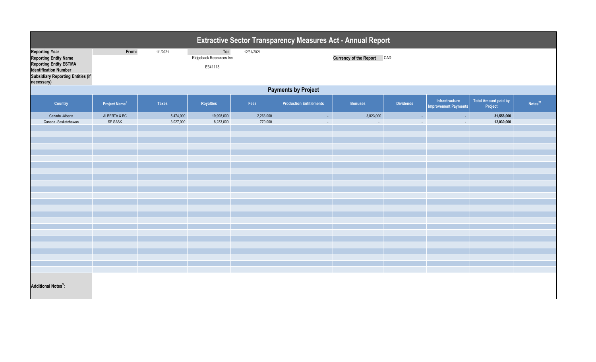| <b>Extractive Sector Transparency Measures Act - Annual Report</b>                                                                                                               |                           |                        |                                           |                      |                                |                            |                                               |                                               |                                 |                     |
|----------------------------------------------------------------------------------------------------------------------------------------------------------------------------------|---------------------------|------------------------|-------------------------------------------|----------------------|--------------------------------|----------------------------|-----------------------------------------------|-----------------------------------------------|---------------------------------|---------------------|
| <b>Reporting Year</b><br><b>Reporting Entity Name</b><br><b>Reporting Entity ESTMA</b><br><b>Identification Number</b><br><b>Subsidiary Reporting Entities (if</b><br>necessary) | From:                     | 1/1/2021               | To:<br>Ridgeback Resources Inc<br>E341113 | 12/31/2021           |                                | Currency of the Report CAD |                                               |                                               |                                 |                     |
|                                                                                                                                                                                  |                           |                        |                                           |                      | <b>Payments by Project</b>     |                            |                                               |                                               |                                 |                     |
| Country                                                                                                                                                                          | Project Name <sup>1</sup> | <b>Taxes</b>           | Royalties                                 | Fees                 | <b>Production Entitlements</b> | <b>Bonuses</b>             | <b>Dividends</b>                              | Infrastructure<br><b>Improvement Payments</b> | Total Amount paid by<br>Project | Notes <sup>23</sup> |
| Canada - Alberta<br>Canada -Saskatchewan                                                                                                                                         | ALBERTA & BC<br>SE SASK   | 5,474,000<br>3,027,000 | 19,998,000<br>8,233,000                   | 2,263,000<br>770,000 | $\sim$<br>$\sim$               | 3,823,000<br>$\sim$        | $\mathcal{L}^{\mathcal{A}}$<br>$\blacksquare$ | $\sim$<br>$\sim$                              | 31,558,000<br>12,030,000        |                     |
| <b>Additional Notes<sup>3</sup>:</b>                                                                                                                                             |                           |                        |                                           |                      |                                |                            |                                               |                                               |                                 |                     |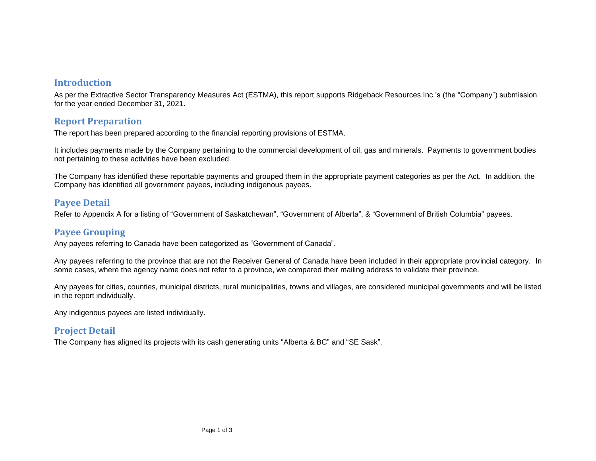### **Introduction**

As per the Extractive Sector Transparency Measures Act (ESTMA), this report supports Ridgeback Resources Inc.'s (the "Company") submission for the year ended December 31, 2021.

### **Report Preparation**

The report has been prepared according to the financial reporting provisions of ESTMA.

It includes payments made by the Company pertaining to the commercial development of oil, gas and minerals. Payments to government bodies not pertaining to these activities have been excluded.

The Company has identified these reportable payments and grouped them in the appropriate payment categories as per the Act. In addition, the Company has identified all government payees, including indigenous payees.

## **Payee Detail**

Refer to Appendix A for a listing of "Government of Saskatchewan", "Government of Alberta", & "Government of British Columbia" payees.

# **Payee Grouping**

Any payees referring to Canada have been categorized as "Government of Canada".

Any payees referring to the province that are not the Receiver General of Canada have been included in their appropriate provincial category. In some cases, where the agency name does not refer to a province, we compared their mailing address to validate their province.

Any payees for cities, counties, municipal districts, rural municipalities, towns and villages, are considered municipal governments and will be listed in the report individually.

Any indigenous payees are listed individually.

# **Project Detail**

The Company has aligned its projects with its cash generating units "Alberta & BC" and "SE Sask".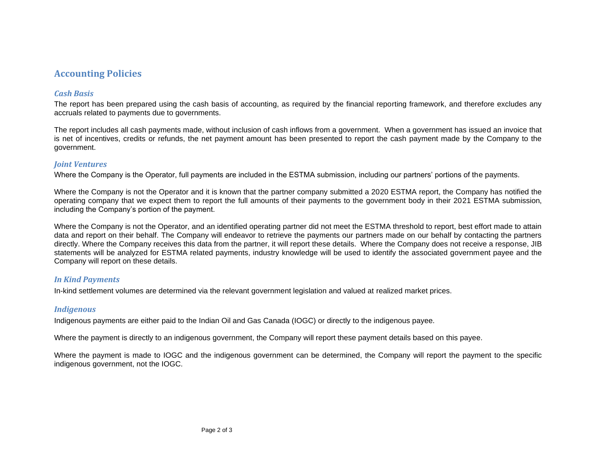## **Accounting Policies**

### *Cash Basis*

The report has been prepared using the cash basis of accounting, as required by the financial reporting framework, and therefore excludes any accruals related to payments due to governments.

The report includes all cash payments made, without inclusion of cash inflows from a government. When a government has issued an invoice that is net of incentives, credits or refunds, the net payment amount has been presented to report the cash payment made by the Company to the government.

### *Joint Ventures*

Where the Company is the Operator, full payments are included in the ESTMA submission, including our partners' portions of the payments.

Where the Company is not the Operator and it is known that the partner company submitted a 2020 ESTMA report, the Company has notified the operating company that we expect them to report the full amounts of their payments to the government body in their 2021 ESTMA submission, including the Company's portion of the payment.

Where the Company is not the Operator, and an identified operating partner did not meet the ESTMA threshold to report, best effort made to attain data and report on their behalf. The Company will endeavor to retrieve the payments our partners made on our behalf by contacting the partners directly. Where the Company receives this data from the partner, it will report these details. Where the Company does not receive a response, JIB statements will be analyzed for ESTMA related payments, industry knowledge will be used to identify the associated government payee and the Company will report on these details.

### *In Kind Payments*

In-kind settlement volumes are determined via the relevant government legislation and valued at realized market prices.

### *Indigenous*

Indigenous payments are either paid to the Indian Oil and Gas Canada (IOGC) or directly to the indigenous payee.

Where the payment is directly to an indigenous government, the Company will report these payment details based on this payee.

Where the payment is made to IOGC and the indigenous government can be determined, the Company will report the payment to the specific indigenous government, not the IOGC.